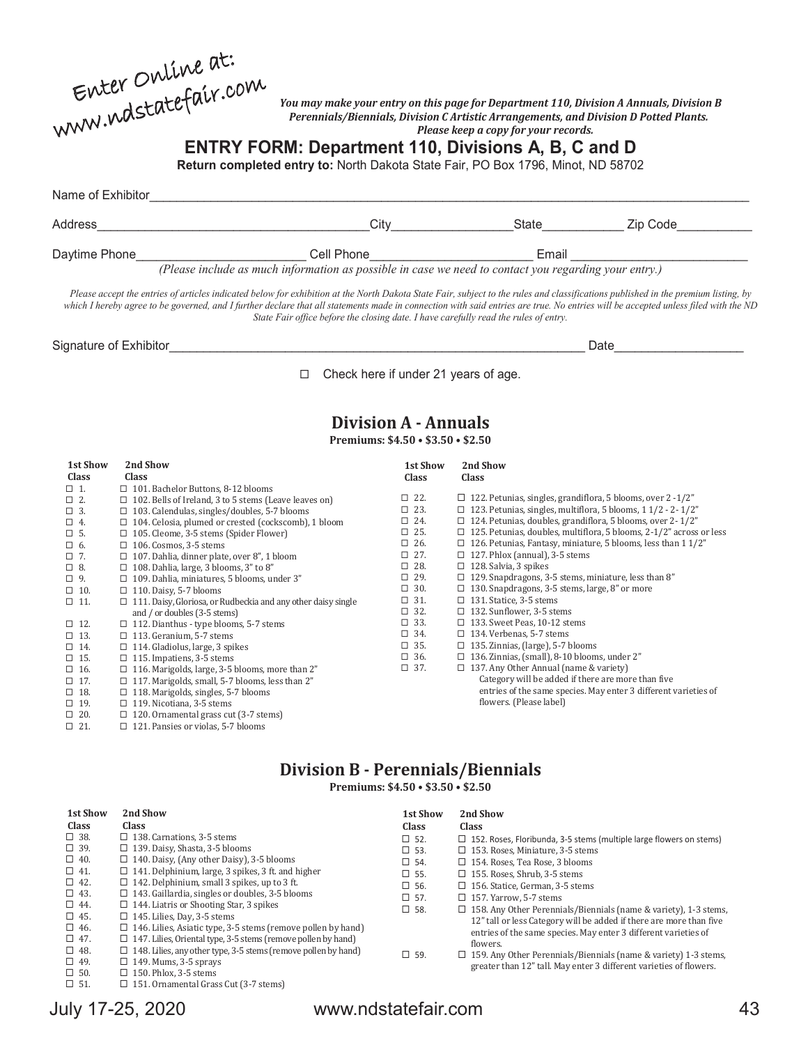| Enter Online at:    |  |
|---------------------|--|
| www.ndstatefair.com |  |

#### *You may make your entry on this page for Department 110, Division A Annuals, Division B Perennials/Biennials, Division C Artistic Arrangements, and Division D Potted Plants. Please keep a copy for your records.*

**ENTRY FORM: Department 110, Divisions A, B, C and D**

**Return completed entry to:** North Dakota State Fair, PO Box 1796, Minot, ND 58702

| Name of Exhibitor |                                                                                                       |       |          |  |  |
|-------------------|-------------------------------------------------------------------------------------------------------|-------|----------|--|--|
| Address           | Citv                                                                                                  | State | Zip Code |  |  |
| Daytime Phone     | Cell Phone                                                                                            | Email |          |  |  |
|                   | (Please include as much information as possible in case we need to contact you regarding your entry.) |       |          |  |  |

*Please accept the entries of articles indicated below for exhibition at the North Dakota State Fair, subject to the rules and classifications published in the premium listing, by* which I hereby agree to be governed, and I further declare that all statements made in connection with said entries are true. No entries will be accepted unless filed with the ND *State Fair office before the closing date. I have carefully read the rules of entry.*

Signature of Exhibitor\_\_\_\_\_\_\_\_\_\_\_\_\_\_\_\_\_\_\_\_\_\_\_\_\_\_\_\_\_\_\_\_\_\_\_\_\_\_\_\_\_\_\_\_\_\_\_\_\_\_\_\_\_\_\_\_\_\_\_\_\_ Date\_\_\_\_\_\_\_\_\_\_\_\_\_\_\_\_\_\_\_

 $\Box$  Check here if under 21 years of age.

### **Division A - Annuals**

**Premiums: \$4.50 • \$3.50 • \$2.50**

| 1st Show<br>Class | 2nd Show<br><b>Class</b>                                             | 1st Show<br><b>Class</b> | 2nd Show<br><b>Class</b>                                                   |
|-------------------|----------------------------------------------------------------------|--------------------------|----------------------------------------------------------------------------|
| $\Box$ 1.         | $\Box$ 101. Bachelor Buttons, 8-12 blooms                            |                          |                                                                            |
| $\Box$ 2.         | $\Box$ 102. Bells of Ireland, 3 to 5 stems (Leave leaves on)         | $\Box$ 22.               | $\Box$ 122. Petunias, singles, grandiflora, 5 blooms, over 2 -1/2"         |
| $\Box$ 3.         | $\Box$ 103. Calendulas, singles/doubles, 5-7 blooms                  | $\Box$ 23.               | $\Box$ 123. Petunias, singles, multiflora, 5 blooms, 1 1/2 - 2-1/2"        |
| $\Box$ 4.         | $\Box$ 104. Celosia, plumed or crested (cockscomb), 1 bloom          | $\square$ 24.            | $\Box$ 124. Petunias, doubles, grandiflora, 5 blooms, over 2-1/2"          |
| $\square$ 5.      | $\Box$ 105. Cleome, 3-5 stems (Spider Flower)                        | $\Box$ 25.               | $\Box$ 125. Petunias, doubles, multiflora, 5 blooms, 2-1/2" across or less |
| $\square$ 6.      | $\Box$ 106. Cosmos, 3-5 stems                                        | $\Box$ 26.               | $\Box$ 126. Petunias, Fantasy, miniature, 5 blooms, less than 1 1/2"       |
| $\Box$ 7.         | $\Box$ 107. Dahlia, dinner plate, over 8", 1 bloom                   | $\square$ 27.            | $\Box$ 127. Phlox (annual), 3-5 stems                                      |
| $\square$ 8.      | $\Box$ 108. Dahlia, large, 3 blooms, 3" to 8"                        | $\square$ 28.            | $\Box$ 128. Salvia, 3 spikes                                               |
| $\Box$ 9.         | $\Box$ 109. Dahlia, miniatures, 5 blooms, under 3"                   | $\Box$ 29.               | $\Box$ 129. Snapdragons, 3-5 stems, miniature, less than 8"                |
| $\Box$ 10.        | $\Box$ 110. Daisy, 5-7 blooms                                        | $\Box$ 30.               | $\Box$ 130. Snapdragons, 3-5 stems, large, 8" or more                      |
| $\Box$ 11.        | $\Box$ 111. Daisy, Gloriosa, or Rudbeckia and any other daisy single | $\square$ 31.            | $\Box$ 131. Statice, 3-5 stems                                             |
|                   | and / or doubles (3-5 stems)                                         | $\Box$ 32.               | $\Box$ 132. Sunflower, 3-5 stems                                           |
| $\Box$ 12.        | $\Box$ 112. Dianthus - type blooms, 5-7 stems                        | $\Box$ 33.               | $\Box$ 133. Sweet Peas, 10-12 stems                                        |
| $\Box$ 13.        | $\Box$ 113. Geranium, 5-7 stems                                      | $\Box$ 34.               | $\Box$ 134. Verbenas, 5-7 stems                                            |
| $\square$ 14.     | $\Box$ 114. Gladiolus, large, 3 spikes                               | $\square$ 35.            | $\Box$ 135. Zinnias, (large), 5-7 blooms                                   |
| $\Box$ 15.        | $\Box$ 115. Impatiens, 3-5 stems                                     | $\square$ 36.            | $\Box$ 136. Zinnias, (small), 8-10 blooms, under 2"                        |
| $\Box$ 16.        | $\Box$ 116. Marigolds, large, 3-5 blooms, more than 2"               | $\Box$ 37.               | $\Box$ 137. Any Other Annual (name & variety)                              |
| $\Box$ 17.        | $\Box$ 117. Marigolds, small, 5-7 blooms, less than 2"               |                          | Category will be added if there are more than five                         |
| $\square$ 18.     | $\Box$ 118. Marigolds, singles, 5-7 blooms                           |                          | entries of the same species. May enter 3 different varieties of            |
| $\Box$ 19.        | $\Box$ 119. Nicotiana, 3-5 stems                                     |                          | flowers. (Please label)                                                    |
| $\Box$ 20.        | $\Box$ 120. Ornamental grass cut (3-7 stems)                         |                          |                                                                            |

#### **Division B - Perennials/Biennials Premiums: \$4.50 • \$3.50 • \$2.50**

| 1st Show                                                                                                                                                                                 | 2nd Show                                                                                                                                                                                                                                                                                                                                                                                                                                                                                                                                                                                                                                                                                     | <b>1st Show</b>                                                                                                                      | 2nd Show                                                                                                                                                                                                                                                                                                                                                                                                                                                                                                                                                                                                                                                          |
|------------------------------------------------------------------------------------------------------------------------------------------------------------------------------------------|----------------------------------------------------------------------------------------------------------------------------------------------------------------------------------------------------------------------------------------------------------------------------------------------------------------------------------------------------------------------------------------------------------------------------------------------------------------------------------------------------------------------------------------------------------------------------------------------------------------------------------------------------------------------------------------------|--------------------------------------------------------------------------------------------------------------------------------------|-------------------------------------------------------------------------------------------------------------------------------------------------------------------------------------------------------------------------------------------------------------------------------------------------------------------------------------------------------------------------------------------------------------------------------------------------------------------------------------------------------------------------------------------------------------------------------------------------------------------------------------------------------------------|
| <b>Class</b>                                                                                                                                                                             | <b>Class</b>                                                                                                                                                                                                                                                                                                                                                                                                                                                                                                                                                                                                                                                                                 | Class                                                                                                                                | Class                                                                                                                                                                                                                                                                                                                                                                                                                                                                                                                                                                                                                                                             |
| $\square$ 38.<br>$\Box$ 39.<br>$\Box$ 40.<br>$\Box$ 41.<br>$\Box$ 42.<br>$\Box$ 43.<br>$\Box$ 44.<br>$\Box$ 45.<br>$\Box$ 46.<br>$\Box$ 47.<br>$\Box$ 48.<br>$\Box$ 49.<br>$\square$ 50. | $\Box$ 138. Carnations, 3-5 stems<br>$\Box$ 139. Daisy, Shasta, 3-5 blooms<br>$\Box$ 140. Daisy, (Any other Daisy), 3-5 blooms<br>$\Box$ 141. Delphinium, large, 3 spikes, 3 ft. and higher<br>$\Box$ 142. Delphinium, small 3 spikes, up to 3 ft.<br>$\Box$ 143. Gaillardia, singles or doubles, 3-5 blooms<br>$\Box$ 144. Liatris or Shooting Star, 3 spikes<br>$\Box$ 145. Lilies, Day, 3-5 stems<br>$\Box$ 146. Lilies, Asiatic type, 3-5 stems (remove pollen by hand)<br>$\Box$ 147. Lilies, Oriental type, 3-5 stems (remove pollen by hand)<br>$\Box$ 148. Lilies, any other type, 3-5 stems (remove pollen by hand)<br>$\Box$ 149. Mums, 3-5 sprays<br>$\Box$ 150. Phlox. 3-5 stems | $\square$ 52.<br>$\square$ 53.<br>$\square$ 54.<br>$\square$ 55.<br>$\square$ 56.<br>$\square$ 57.<br>$\square$ 58.<br>$\square$ 59. | $\Box$ 152. Roses, Floribunda, 3-5 stems (multiple large flowers on stems)<br>$\Box$ 153. Roses, Miniature, 3-5 stems<br>$\Box$ 154. Roses. Tea Rose. 3 blooms<br>$\Box$ 155. Roses. Shrub. 3-5 stems<br>$\Box$ 156. Statice. German. 3-5 stems<br>$\Box$ 157. Yarrow. 5-7 stems<br>$\Box$ 158. Any Other Perennials/Biennials (name & variety), 1-3 stems,<br>12" tall or less Category will be added if there are more than five<br>entries of the same species. May enter 3 different varieties of<br>flowers.<br>$\Box$ 159. Any Other Perennials/Biennials (name & variety) 1-3 stems,<br>greater than 12" tall. May enter 3 different varieties of flowers. |

 $\Box$  51.

 $\Box$  21.

121. Pansies or violas, 5-7 blooms

151. Ornamental Grass Cut (3-7 stems)

## July 17-25, 2020 www.ndstatefair.com 43